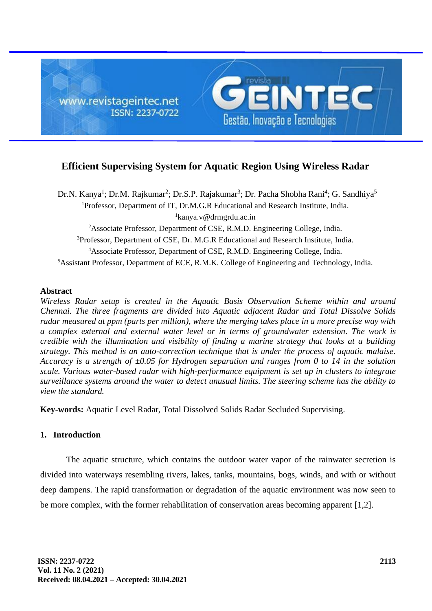

# **Efficient Supervising System for Aquatic Region Using Wireless Radar**

<sup>1</sup>Professor, Department of IT, Dr.M.G.R Educational and Research Institute, India.  ${}^{1}$ kanya.v@drmgrdu.ac.in <sup>2</sup>Associate Professor, Department of CSE, R.M.D. Engineering College, India. <sup>3</sup>Professor, Department of CSE, Dr. M.G.R Educational and Research Institute, India. <sup>4</sup>Associate Professor, Department of CSE, R.M.D. Engineering College, India. Dr.N. Kanya<sup>1</sup>; Dr.M. Rajkumar<sup>2</sup>; Dr.S.P. Rajakumar<sup>3</sup>; Dr. Pacha Shobha Rani<sup>4</sup>; G. Sandhiya<sup>5</sup>

<sup>5</sup>Assistant Professor, Department of ECE, R.M.K. College of Engineering and Technology, India.

#### **Abstract**

*Wireless Radar setup is created in the Aquatic Basis Observation Scheme within and around Chennai. The three fragments are divided into Aquatic adjacent Radar and Total Dissolve Solids radar measured at ppm (parts per million), where the merging takes place in a more precise way with a complex external and external water level or in terms of groundwater extension. The work is credible with the illumination and visibility of finding a marine strategy that looks at a building strategy. This method is an auto-correction technique that is under the process of aquatic malaise. Accuracy is a strength of ±0.05 for Hydrogen separation and ranges from 0 to 14 in the solution scale. Various water-based radar with high-performance equipment is set up in clusters to integrate surveillance systems around the water to detect unusual limits. The steering scheme has the ability to view the standard.*

**Key-words:** Aquatic Level Radar, Total Dissolved Solids Radar Secluded Supervising.

### **1. Introduction**

The aquatic structure, which contains the outdoor water vapor of the rainwater secretion is divided into waterways resembling rivers, lakes, tanks, mountains, bogs, winds, and with or without deep dampens. The rapid transformation or degradation of the aquatic environment was now seen to be more complex, with the former rehabilitation of conservation areas becoming apparent [1,2].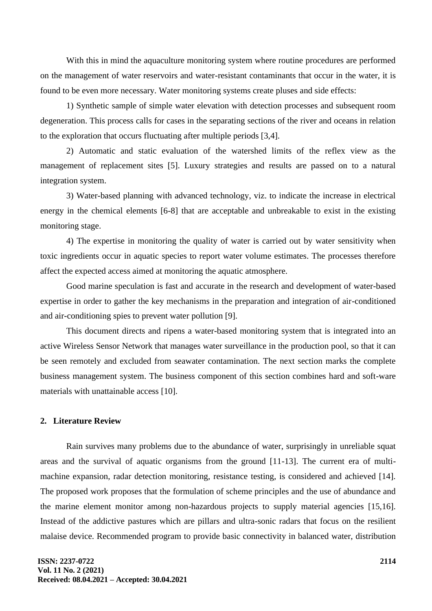With this in mind the aquaculture monitoring system where routine procedures are performed on the management of water reservoirs and water-resistant contaminants that occur in the water, it is found to be even more necessary. Water monitoring systems create pluses and side effects:

1) Synthetic sample of simple water elevation with detection processes and subsequent room degeneration. This process calls for cases in the separating sections of the river and oceans in relation to the exploration that occurs fluctuating after multiple periods [3,4].

2) Automatic and static evaluation of the watershed limits of the reflex view as the management of replacement sites [5]. Luxury strategies and results are passed on to a natural integration system.

3) Water-based planning with advanced technology, viz. to indicate the increase in electrical energy in the chemical elements [6-8] that are acceptable and unbreakable to exist in the existing monitoring stage.

4) The expertise in monitoring the quality of water is carried out by water sensitivity when toxic ingredients occur in aquatic species to report water volume estimates. The processes therefore affect the expected access aimed at monitoring the aquatic atmosphere.

Good marine speculation is fast and accurate in the research and development of water-based expertise in order to gather the key mechanisms in the preparation and integration of air-conditioned and air-conditioning spies to prevent water pollution [9].

This document directs and ripens a water-based monitoring system that is integrated into an active Wireless Sensor Network that manages water surveillance in the production pool, so that it can be seen remotely and excluded from seawater contamination. The next section marks the complete business management system. The business component of this section combines hard and soft-ware materials with unattainable access [10].

### **2. Literature Review**

Rain survives many problems due to the abundance of water, surprisingly in unreliable squat areas and the survival of aquatic organisms from the ground [11-13]. The current era of multimachine expansion, radar detection monitoring, resistance testing, is considered and achieved [14]. The proposed work proposes that the formulation of scheme principles and the use of abundance and the marine element monitor among non-hazardous projects to supply material agencies [15,16]. Instead of the addictive pastures which are pillars and ultra-sonic radars that focus on the resilient malaise device. Recommended program to provide basic connectivity in balanced water, distribution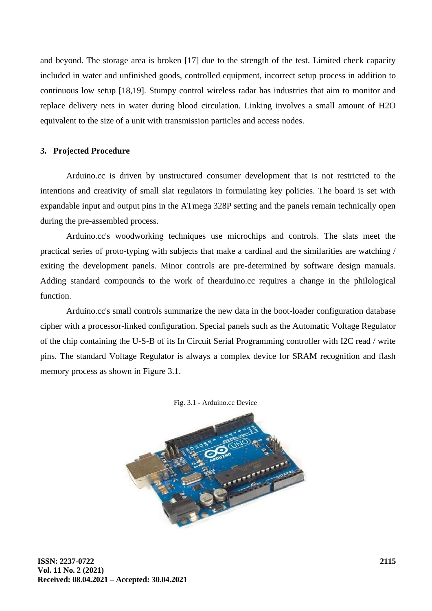and beyond. The storage area is broken [17] due to the strength of the test. Limited check capacity included in water and unfinished goods, controlled equipment, incorrect setup process in addition to continuous low setup [18,19]. Stumpy control wireless radar has industries that aim to monitor and replace delivery nets in water during blood circulation. Linking involves a small amount of H2O equivalent to the size of a unit with transmission particles and access nodes.

#### **3. Projected Procedure**

Arduino.cc is driven by unstructured consumer development that is not restricted to the intentions and creativity of small slat regulators in formulating key policies. The board is set with expandable input and output pins in the ATmega 328P setting and the panels remain technically open during the pre-assembled process.

Arduino.cc's woodworking techniques use microchips and controls. The slats meet the practical series of proto-typing with subjects that make a cardinal and the similarities are watching / exiting the development panels. Minor controls are pre-determined by software design manuals. Adding standard compounds to the work of thearduino.cc requires a change in the philological function.

Arduino.cc's small controls summarize the new data in the boot-loader configuration database cipher with a processor-linked configuration. Special panels such as the Automatic Voltage Regulator of the chip containing the U-S-B of its In Circuit Serial Programming controller with I2C read / write pins. The standard Voltage Regulator is always a complex device for SRAM recognition and flash memory process as shown in Figure 3.1.



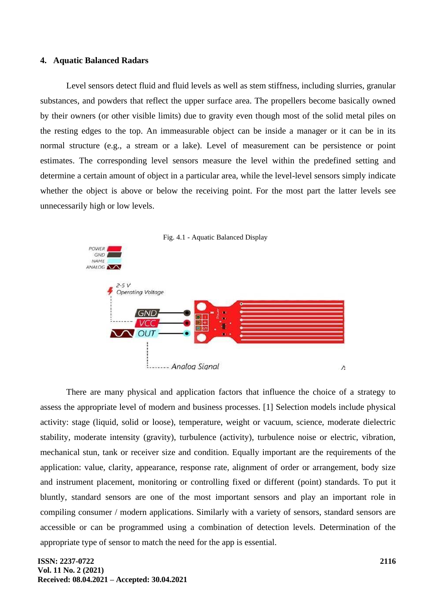#### **4. Aquatic Balanced Radars**

Level sensors detect fluid and fluid levels as well as stem stiffness, including slurries, granular substances, and powders that reflect the upper surface area. The propellers become basically owned by their owners (or other visible limits) due to gravity even though most of the solid metal piles on the resting edges to the top. An immeasurable object can be inside a manager or it can be in its normal structure (e.g., a stream or a lake). Level of measurement can be persistence or point estimates. The corresponding level sensors measure the level within the predefined setting and determine a certain amount of object in a particular area, while the level-level sensors simply indicate whether the object is above or below the receiving point. For the most part the latter levels see unnecessarily high or low levels.



There are many physical and application factors that influence the choice of a strategy to assess the appropriate level of modern and business processes. [1] Selection models include physical activity: stage (liquid, solid or loose), temperature, weight or vacuum, science, moderate dielectric stability, moderate intensity (gravity), turbulence (activity), turbulence noise or electric, vibration, mechanical stun, tank or receiver size and condition. Equally important are the requirements of the application: value, clarity, appearance, response rate, alignment of order or arrangement, body size and instrument placement, monitoring or controlling fixed or different (point) standards. To put it bluntly, standard sensors are one of the most important sensors and play an important role in compiling consumer / modern applications. Similarly with a variety of sensors, standard sensors are accessible or can be programmed using a combination of detection levels. Determination of the appropriate type of sensor to match the need for the app is essential.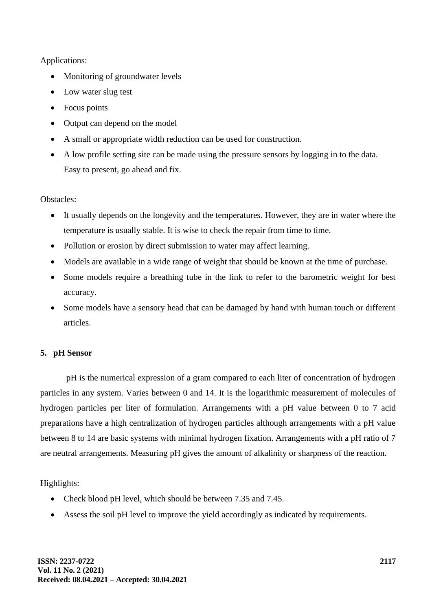## Applications:

- Monitoring of groundwater levels
- Low water slug test
- Focus points
- Output can depend on the model
- A small or appropriate width reduction can be used for construction.
- A low profile setting site can be made using the pressure sensors by logging in to the data. Easy to present, go ahead and fix.

### Obstacles:

- It usually depends on the longevity and the temperatures. However, they are in water where the temperature is usually stable. It is wise to check the repair from time to time.
- Pollution or erosion by direct submission to water may affect learning.
- Models are available in a wide range of weight that should be known at the time of purchase.
- Some models require a breathing tube in the link to refer to the barometric weight for best accuracy.
- Some models have a sensory head that can be damaged by hand with human touch or different articles.

## **5. pH Sensor**

pH is the numerical expression of a gram compared to each liter of concentration of hydrogen particles in any system. Varies between 0 and 14. It is the logarithmic measurement of molecules of hydrogen particles per liter of formulation. Arrangements with a pH value between 0 to 7 acid preparations have a high centralization of hydrogen particles although arrangements with a pH value between 8 to 14 are basic systems with minimal hydrogen fixation. Arrangements with a pH ratio of 7 are neutral arrangements. Measuring pH gives the amount of alkalinity or sharpness of the reaction.

## Highlights:

- Check blood pH level, which should be between 7.35 and 7.45.
- Assess the soil pH level to improve the yield accordingly as indicated by requirements.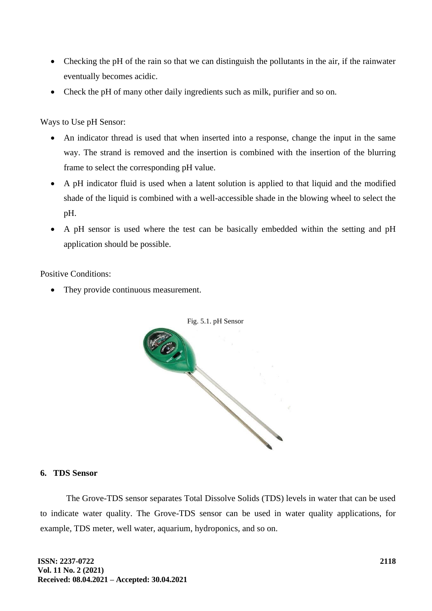- Checking the pH of the rain so that we can distinguish the pollutants in the air, if the rainwater eventually becomes acidic.
- Check the pH of many other daily ingredients such as milk, purifier and so on.

Ways to Use pH Sensor:

- An indicator thread is used that when inserted into a response, change the input in the same way. The strand is removed and the insertion is combined with the insertion of the blurring frame to select the corresponding pH value.
- A pH indicator fluid is used when a latent solution is applied to that liquid and the modified shade of the liquid is combined with a well-accessible shade in the blowing wheel to select the pH.
- A pH sensor is used where the test can be basically embedded within the setting and pH application should be possible.

Positive Conditions:

• They provide continuous measurement.



### **6. TDS Sensor**

The Grove-TDS sensor separates Total Dissolve Solids (TDS) levels in water that can be used to indicate water quality. The Grove-TDS sensor can be used in water quality applications, for example, TDS meter, well water, aquarium, hydroponics, and so on.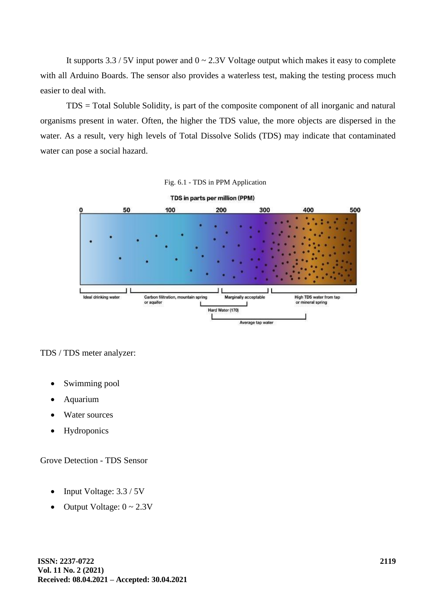It supports  $3.3 / 5V$  input power and  $0 \sim 2.3V$  Voltage output which makes it easy to complete with all Arduino Boards. The sensor also provides a waterless test, making the testing process much easier to deal with.

TDS = Total Soluble Solidity, is part of the composite component of all inorganic and natural organisms present in water. Often, the higher the TDS value, the more objects are dispersed in the water. As a result, very high levels of Total Dissolve Solids (TDS) may indicate that contaminated water can pose a social hazard.



Average tap water

TDS / TDS meter analyzer:

- Swimming pool
- Aquarium
- Water sources
- Hydroponics

Grove Detection - TDS Sensor

- Input Voltage: 3.3 / 5V
- Output Voltage:  $0 \sim 2.3V$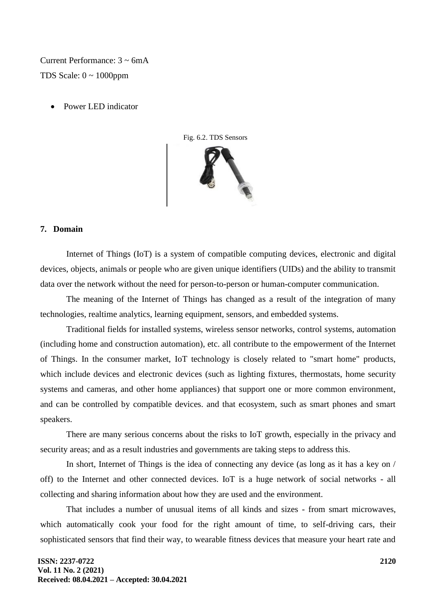Current Performance: 3 ~ 6mA TDS Scale:  $0 \sim 1000$ ppm

• Power LED indicator



#### **7. Domain**

Internet of Things (IoT) is a system of compatible computing devices, electronic and digital devices, objects, animals or people who are given unique identifiers (UIDs) and the ability to transmit data over the network without the need for person-to-person or human-computer communication.

The meaning of the Internet of Things has changed as a result of the integration of many technologies, realtime analytics, learning equipment, sensors, and embedded systems.

Traditional fields for installed systems, wireless sensor networks, control systems, automation (including home and construction automation), etc. all contribute to the empowerment of the Internet of Things. In the consumer market, IoT technology is closely related to "smart home" products, which include devices and electronic devices (such as lighting fixtures, thermostats, home security systems and cameras, and other home appliances) that support one or more common environment, and can be controlled by compatible devices. and that ecosystem, such as smart phones and smart speakers.

There are many serious concerns about the risks to IoT growth, especially in the privacy and security areas; and as a result industries and governments are taking steps to address this.

In short, Internet of Things is the idea of connecting any device (as long as it has a key on / off) to the Internet and other connected devices. IoT is a huge network of social networks - all collecting and sharing information about how they are used and the environment.

That includes a number of unusual items of all kinds and sizes - from smart microwaves, which automatically cook your food for the right amount of time, to self-driving cars, their sophisticated sensors that find their way, to wearable fitness devices that measure your heart rate and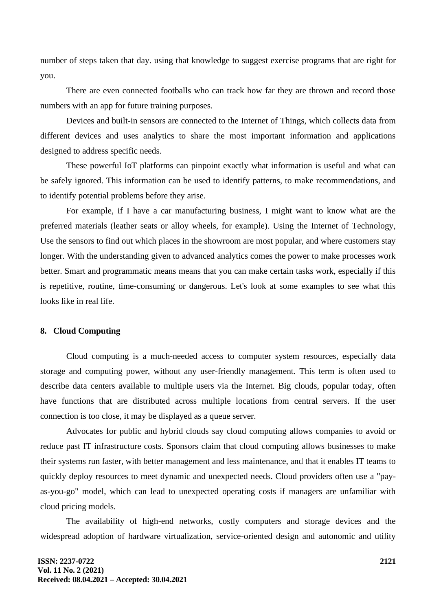number of steps taken that day. using that knowledge to suggest exercise programs that are right for you.

There are even connected footballs who can track how far they are thrown and record those numbers with an app for future training purposes.

Devices and built-in sensors are connected to the Internet of Things, which collects data from different devices and uses analytics to share the most important information and applications designed to address specific needs.

These powerful IoT platforms can pinpoint exactly what information is useful and what can be safely ignored. This information can be used to identify patterns, to make recommendations, and to identify potential problems before they arise.

For example, if I have a car manufacturing business, I might want to know what are the preferred materials (leather seats or alloy wheels, for example). Using the Internet of Technology, Use the sensors to find out which places in the showroom are most popular, and where customers stay longer. With the understanding given to advanced analytics comes the power to make processes work better. Smart and programmatic means means that you can make certain tasks work, especially if this is repetitive, routine, time-consuming or dangerous. Let's look at some examples to see what this looks like in real life.

### **8. Cloud Computing**

Cloud computing is a much-needed access to computer system resources, especially data storage and computing power, without any user-friendly management. This term is often used to describe data centers available to multiple users via the Internet. Big clouds, popular today, often have functions that are distributed across multiple locations from central servers. If the user connection is too close, it may be displayed as a queue server.

Advocates for public and hybrid clouds say cloud computing allows companies to avoid or reduce past IT infrastructure costs. Sponsors claim that cloud computing allows businesses to make their systems run faster, with better management and less maintenance, and that it enables IT teams to quickly deploy resources to meet dynamic and unexpected needs. Cloud providers often use a "payas-you-go" model, which can lead to unexpected operating costs if managers are unfamiliar with cloud pricing models.

The availability of high-end networks, costly computers and storage devices and the widespread adoption of hardware virtualization, service-oriented design and autonomic and utility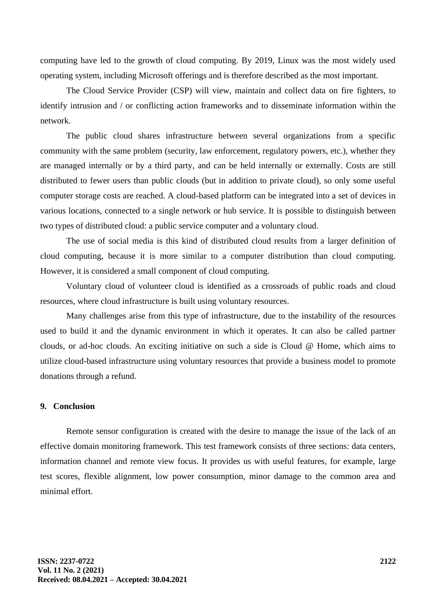computing have led to the growth of cloud computing. By 2019, Linux was the most widely used operating system, including Microsoft offerings and is therefore described as the most important.

The Cloud Service Provider (CSP) will view, maintain and collect data on fire fighters, to identify intrusion and / or conflicting action frameworks and to disseminate information within the network.

The public cloud shares infrastructure between several organizations from a specific community with the same problem (security, law enforcement, regulatory powers, etc.), whether they are managed internally or by a third party, and can be held internally or externally. Costs are still distributed to fewer users than public clouds (but in addition to private cloud), so only some useful computer storage costs are reached. A cloud-based platform can be integrated into a set of devices in various locations, connected to a single network or hub service. It is possible to distinguish between two types of distributed cloud: a public service computer and a voluntary cloud.

The use of social media is this kind of distributed cloud results from a larger definition of cloud computing, because it is more similar to a computer distribution than cloud computing. However, it is considered a small component of cloud computing.

Voluntary cloud of volunteer cloud is identified as a crossroads of public roads and cloud resources, where cloud infrastructure is built using voluntary resources.

Many challenges arise from this type of infrastructure, due to the instability of the resources used to build it and the dynamic environment in which it operates. It can also be called partner clouds, or ad-hoc clouds. An exciting initiative on such a side is Cloud @ Home, which aims to utilize cloud-based infrastructure using voluntary resources that provide a business model to promote donations through a refund.

### **9. Conclusion**

Remote sensor configuration is created with the desire to manage the issue of the lack of an effective domain monitoring framework. This test framework consists of three sections: data centers, information channel and remote view focus. It provides us with useful features, for example, large test scores, flexible alignment, low power consumption, minor damage to the common area and minimal effort.